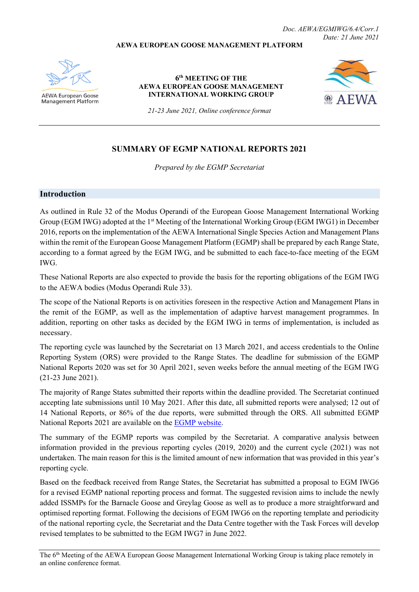#### **AEWA EUROPEAN GOOSE MANAGEMENT PLATFORM**



**AEWA European Goose Management Platform** 

#### **6th MEETING OF THE AEWA EUROPEAN GOOSE MANAGEMENT INTERNATIONAL WORKING GROUP**



*21-23 June 2021, Online conference format*

# **SUMMARY OF EGMP NATIONAL REPORTS 2021**

*Prepared by the EGMP Secretariat*

#### <span id="page-0-0"></span>**Introduction**

As outlined in Rule 32 of the Modus Operandi of the European Goose Management International Working Group (EGM IWG) adopted at the 1<sup>st</sup> Meeting of the International Working Group (EGM IWG1) in December 2016, reports on the implementation of the AEWA International Single Species Action and Management Plans within the remit of the European Goose Management Platform (EGMP) shall be prepared by each Range State, according to a format agreed by the EGM IWG, and be submitted to each face-to-face meeting of the EGM IWG.

These National Reports are also expected to provide the basis for the reporting obligations of the EGM IWG to the AEWA bodies (Modus Operandi Rule 33).

The scope of the National Reports is on activities foreseen in the respective Action and Management Plans in the remit of the EGMP, as well as the implementation of adaptive harvest management programmes. In addition, reporting on other tasks as decided by the EGM IWG in terms of implementation, is included as necessary.

The reporting cycle was launched by the Secretariat on 13 March 2021, and access credentials to the Online Reporting System (ORS) were provided to the Range States. The deadline for submission of the EGMP National Reports 2020 was set for 30 April 2021, seven weeks before the annual meeting of the EGM IWG (21-23 June 2021).

The majority of Range States submitted their reports within the deadline provided. The Secretariat continued accepting late submissions until 10 May 2021. After this date, all submitted reports were analysed; 12 out of 14 National Reports, or 86% of the due reports, were submitted through the ORS. All submitted EGMP National Reports 2021 are available on the EGMP [website.](https://egmp.aewa.info/meetings/iwg/detail/6th-meeting-aewa-european-goose-management-international-working-group-egm-iwg-6)

The summary of the EGMP reports was compiled by the Secretariat. A comparative analysis between information provided in the previous reporting cycles (2019, 2020) and the current cycle (2021) was not undertaken. The main reason for this is the limited amount of new information that was provided in this year's reporting cycle.

Based on the feedback received from Range States, the Secretariat has submitted a proposal to EGM IWG6 for a revised EGMP national reporting process and format. The suggested revision aims to include the newly added ISSMPs for the Barnacle Goose and Greylag Goose as well as to produce a more straightforward and optimised reporting format. Following the decisions of EGM IWG6 on the reporting template and periodicity of the national reporting cycle, the Secretariat and the Data Centre together with the Task Forces will develop revised templates to be submitted to the EGM IWG7 in June 2022.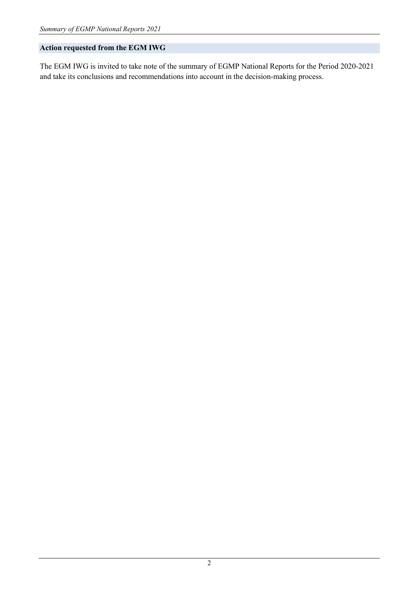## **Action requested from the EGM IWG**

The EGM IWG is invited to take note of the summary of EGMP National Reports for the Period 2020-2021 and take its conclusions and recommendations into account in the decision-making process.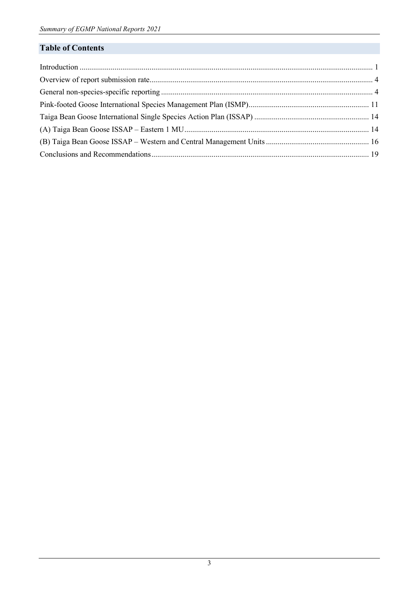# **Table of Contents**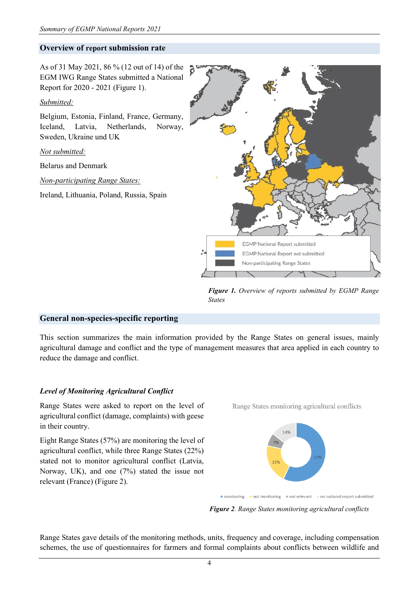### <span id="page-3-0"></span>**Overview of report submission rate**

As of 31 May 2021, 86 % (12 out of 14) of the EGM IWG Range States submitted a National Report for 2020 - 2021 (Figure 1).

### *Submitted:*

Belgium, Estonia, Finland, France, Germany, Iceland, Latvia, Netherlands, Norway, Sweden, Ukraine und UK

*Not submitted:*

Belarus and Denmark

*Non-participating Range States:*

Ireland, Lithuania, Poland, Russia, Spain



*Figure 1. Overview of reports submitted by EGMP Range States*

### <span id="page-3-1"></span>**General non-species-specific reporting**

This section summarizes the main information provided by the Range States on general issues, mainly agricultural damage and conflict and the type of management measures that area applied in each country to reduce the damage and conflict.

#### *Level of Monitoring Agricultural Conflict*

Range States were asked to report on the level of agricultural conflict (damage, complaints) with geese in their country.

Eight Range States (57%) are monitoring the level of agricultural conflict, while three Range States (22%) stated not to monitor agricultural conflict (Latvia, Norway, UK), and one (7%) stated the issue not relevant (France) (Figure 2).

Range States monitoring agricultural conflicts



■ monitoring ■ not monitoring ■ not relevant ■ no national report submitted

*Figure 2. Range States monitoring agricultural conflicts*

Range States gave details of the monitoring methods, units, frequency and coverage, including compensation schemes, the use of questionnaires for farmers and formal complaints about conflicts between wildlife and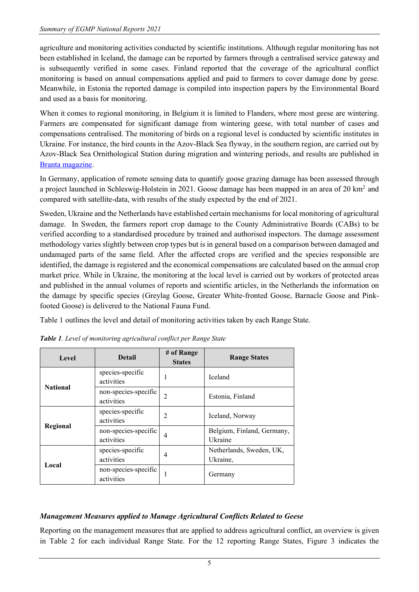agriculture and monitoring activities conducted by scientific institutions. Although regular monitoring has not been established in Iceland, the damage can be reported by farmers through a centralised service gateway and is subsequently verified in some cases. Finland reported that the coverage of the agricultural conflict monitoring is based on annual compensations applied and paid to farmers to cover damage done by geese. Meanwhile, in Estonia the reported damage is compiled into inspection papers by the Environmental Board and used as a basis for monitoring.

When it comes to regional monitoring, in Belgium it is limited to Flanders, where most geese are wintering. Farmers are compensated for significant damage from wintering geese, with total number of cases and compensations centralised. The monitoring of birds on a regional level is conducted by scientific institutes in Ukraine. For instance, the bird counts in the Azov-Black Sea flyway, in the southern region, are carried out by Azov-Black Sea Ornithological Station during migration and wintering periods, and results are published in [Branta magazine.](https://branta.org.ua/en/)

In Germany, application of remote sensing data to quantify goose grazing damage has been assessed through a project launched in Schleswig-Holstein in 2021. Goose damage has been mapped in an area of 20 km2 and compared with satellite-data, with results of the study expected by the end of 2021.

Sweden, Ukraine and the Netherlands have established certain mechanisms for local monitoring of agricultural damage. In Sweden, the farmers report crop damage to the County Administrative Boards (CABs) to be verified according to a standardised procedure by trained and authorised inspectors. The damage assessment methodology varies slightly between crop types but is in general based on a comparison between damaged and undamaged parts of the same field. After the affected crops are verified and the species responsible are identified, the damage is registered and the economical compensations are calculated based on the annual crop market price. While in Ukraine, the monitoring at the local level is carried out by workers of protected areas and published in the annual volumes of reports and scientific articles, in the Netherlands the information on the damage by specific species (Greylag Goose, Greater White-fronted Goose, Barnacle Goose and Pinkfooted Goose) is delivered to the National Fauna Fund.

Table 1 outlines the level and detail of monitoring activities taken by each Range State.

| Level           | <b>Detail</b>                      | # of Range<br><b>States</b> | <b>Range States</b>                   |
|-----------------|------------------------------------|-----------------------------|---------------------------------------|
|                 | species-specific<br>activities     |                             | <b>Iceland</b>                        |
| <b>National</b> | non-species-specific<br>activities | 2                           | Estonia, Finland                      |
| Regional        | species-specific<br>activities     | $\mathfrak{D}$              | Iceland, Norway                       |
|                 | non-species-specific<br>activities | 4                           | Belgium, Finland, Germany,<br>Ukraine |
| Local           | species-specific<br>activities     | 4                           | Netherlands, Sweden, UK,<br>Ukraine,  |
|                 | non-species-specific<br>activities |                             | Germany                               |

*Table 1. Level of monitoring agricultural conflict per Range State*

# *Management Measures applied to Manage Agricultural Conflicts Related to Geese*

Reporting on the management measures that are applied to address agricultural conflict, an overview is given in Table 2 for each individual Range State. For the 12 reporting Range States, Figure 3 indicates the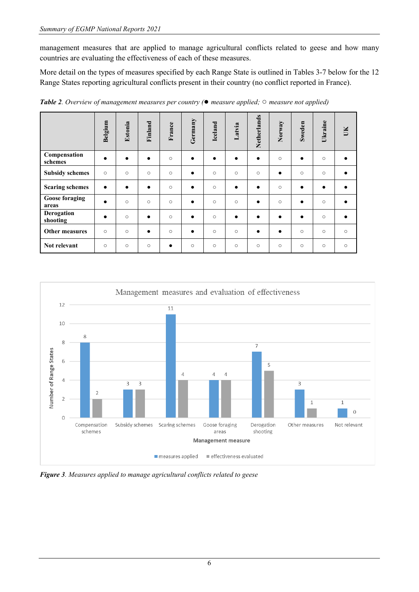management measures that are applied to manage agricultural conflicts related to geese and how many countries are evaluating the effectiveness of each of these measures.

More detail on the types of measures specified by each Range State is outlined in Tables 3-7 below for the 12 Range States reporting agricultural conflicts present in their country (no conflict reported in France).

|                                | Belgium   | Estonia   | Finland   | France    | Germany   | Iceland   | Latvia    | Netherlands | Norway    | Sweden    | Ukraine   | UK      |
|--------------------------------|-----------|-----------|-----------|-----------|-----------|-----------|-----------|-------------|-----------|-----------|-----------|---------|
| Compensation<br>schemes        | $\bullet$ | $\bullet$ | $\bullet$ | $\circ$   | $\bullet$ | $\bullet$ | $\bullet$ | $\bullet$   | $\circ$   | $\bullet$ | $\circ$   |         |
| <b>Subsidy schemes</b>         | $\circ$   | $\circ$   | $\circ$   | $\circ$   | $\bullet$ | $\circ$   | $\circ$   | $\circ$     | $\bullet$ | $\circ$   | $\circ$   |         |
| <b>Scaring schemes</b>         | $\bullet$ | $\bullet$ | $\bullet$ | $\circ$   | $\bullet$ | $\circ$   | $\bullet$ | $\bullet$   | $\circ$   | $\bullet$ | $\bullet$ |         |
| <b>Goose foraging</b><br>areas | $\bullet$ | $\circ$   | $\circ$   | $\circ$   | $\bullet$ | $\circ$   | $\circ$   | $\bullet$   | $\circ$   | $\bullet$ | $\circ$   |         |
| Derogation<br>shooting         | $\bullet$ | $\circ$   | $\bullet$ | $\circ$   | $\bullet$ | $\circ$   | $\bullet$ | $\bullet$   | $\bullet$ | $\bullet$ | $\circ$   |         |
| Other measures                 | $\circ$   | $\circ$   | $\bullet$ | $\circ$   | $\bullet$ | $\circ$   | $\circ$   | $\bullet$   | $\bullet$ | $\circ$   | $\circ$   | $\circ$ |
| Not relevant                   | $\circ$   | $\circ$   | $\circ$   | $\bullet$ | $\circ$   | $\circ$   | $\circ$   | $\circ$     | $\circ$   | $\circ$   | $\circ$   | $\circ$ |

*Table 2. Overview of management measures per country (*● *measure applied;* ○ *measure not applied)*



*Figure 3. Measures applied to manage agricultural conflicts related to geese*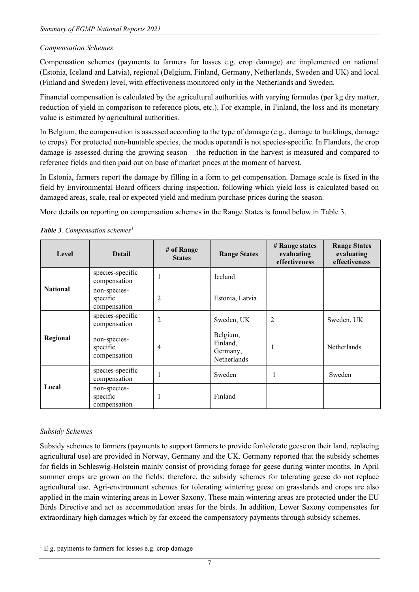### *Compensation Schemes*

Compensation schemes (payments to farmers for losses e.g. crop damage) are implemented on national (Estonia, Iceland and Latvia), regional (Belgium, Finland, Germany, Netherlands, Sweden and UK) and local (Finland and Sweden) level, with effectiveness monitored only in the Netherlands and Sweden.

Financial compensation is calculated by the agricultural authorities with varying formulas (per kg dry matter, reduction of yield in comparison to reference plots, etc.). For example, in Finland, the loss and its monetary value is estimated by agricultural authorities.

In Belgium, the compensation is assessed according to the type of damage (e.g., damage to buildings, damage to crops). For protected non-huntable species, the modus operandi is not species-specific. In Flanders, the crop damage is assessed during the growing season – the reduction in the harvest is measured and compared to reference fields and then paid out on base of market prices at the moment of harvest.

In Estonia, farmers report the damage by filling in a form to get compensation. Damage scale is fixed in the field by Environmental Board officers during inspection, following which yield loss is calculated based on damaged areas, scale, real or expected yield and medium purchase prices during the season.

More details on reporting on compensation schemes in the Range States is found below in Table 3.

| Level           | <b>Detail</b>                            | # of Range<br><b>States</b> | <b>Range States</b>                             | # Range states<br>evaluating<br>effectiveness | <b>Range States</b><br>evaluating<br>effectiveness |
|-----------------|------------------------------------------|-----------------------------|-------------------------------------------------|-----------------------------------------------|----------------------------------------------------|
|                 | species-specific<br>compensation         |                             | Iceland                                         |                                               |                                                    |
| <b>National</b> | non-species-<br>specific<br>compensation | 2                           | Estonia, Latvia                                 |                                               |                                                    |
|                 | species-specific<br>compensation         | $\overline{c}$              | Sweden, UK                                      | $\overline{2}$                                | Sweden, UK                                         |
| Regional        | non-species-<br>specific<br>compensation | 4                           | Belgium,<br>Finland,<br>Germany,<br>Netherlands | 1                                             | Netherlands                                        |
|                 | species-specific<br>compensation         |                             | Sweden                                          | 1                                             | Sweden                                             |
| Local           | non-species-<br>specific<br>compensation |                             | Finland                                         |                                               |                                                    |

*Table 3. Compensation schemes[1](#page-6-0)*

# *Subsidy Schemes*

Subsidy schemes to farmers (payments to support farmers to provide for/tolerate geese on their land, replacing agricultural use) are provided in Norway, Germany and the UK. Germany reported that the subsidy schemes for fields in Schleswig-Holstein mainly consist of providing forage for geese during winter months. In April summer crops are grown on the fields; therefore, the subsidy schemes for tolerating geese do not replace agricultural use. Agri-environment schemes for tolerating wintering geese on grasslands and crops are also applied in the main wintering areas in Lower Saxony. These main wintering areas are protected under the EU Birds Directive and act as accommodation areas for the birds. In addition, Lower Saxony compensates for extraordinary high damages which by far exceed the compensatory payments through subsidy schemes.

<span id="page-6-0"></span> $1$  E.g. payments to farmers for losses e.g. crop damage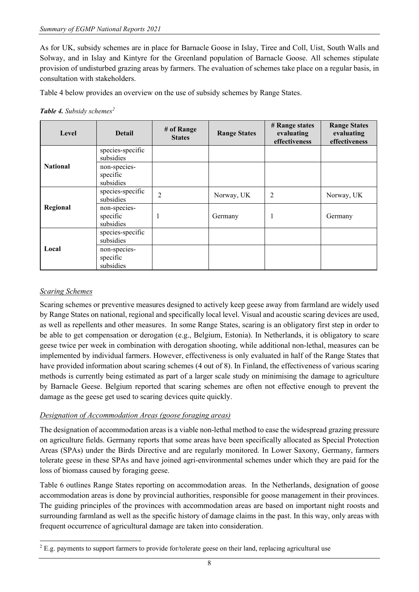As for UK, subsidy schemes are in place for Barnacle Goose in Islay, Tiree and Coll, Uist, South Walls and Solway, and in Islay and Kintyre for the Greenland population of Barnacle Goose. All schemes stipulate provision of undisturbed grazing areas by farmers. The evaluation of schemes take place on a regular basis, in consultation with stakeholders.

Table 4 below provides an overview on the use of subsidy schemes by Range States.

#### *Table 4. Subsidy schemes[2](#page-7-0)*

| Level           | <b>Detail</b>                         | # of Range<br><b>States</b> | <b>Range States</b> | # Range states<br>evaluating<br>effectiveness | <b>Range States</b><br>evaluating<br>effectiveness |
|-----------------|---------------------------------------|-----------------------------|---------------------|-----------------------------------------------|----------------------------------------------------|
|                 | species-specific<br>subsidies         |                             |                     |                                               |                                                    |
| <b>National</b> | non-species-<br>specific<br>subsidies |                             |                     |                                               |                                                    |
| Regional        | species-specific<br>subsidies         | $\overline{2}$              | Norway, UK          | $\overline{2}$                                | Norway, UK                                         |
|                 | non-species-<br>specific<br>subsidies |                             | Germany             |                                               | Germany                                            |
| Local           | species-specific<br>subsidies         |                             |                     |                                               |                                                    |
|                 | non-species-<br>specific<br>subsidies |                             |                     |                                               |                                                    |

### *Scaring Schemes*

Scaring schemes or preventive measures designed to actively keep geese away from farmland are widely used by Range States on national, regional and specifically local level. Visual and acoustic scaring devices are used, as well as repellents and other measures. In some Range States, scaring is an obligatory first step in order to be able to get compensation or derogation (e.g., Belgium, Estonia). In Netherlands, it is obligatory to scare geese twice per week in combination with derogation shooting, while additional non-lethal, measures can be implemented by individual farmers. However, effectiveness is only evaluated in half of the Range States that have provided information about scaring schemes (4 out of 8). In Finland, the effectiveness of various scaring methods is currently being estimated as part of a larger scale study on minimising the damage to agriculture by Barnacle Geese. Belgium reported that scaring schemes are often not effective enough to prevent the damage as the geese get used to scaring devices quite quickly.

### *Designation of Accommodation Areas (goose foraging areas)*

The designation of accommodation areas is a viable non-lethal method to ease the widespread grazing pressure on agriculture fields. Germany reports that some areas have been specifically allocated as Special Protection Areas (SPAs) under the Birds Directive and are regularly monitored. In Lower Saxony, Germany, farmers tolerate geese in these SPAs and have joined agri-environmental schemes under which they are paid for the loss of biomass caused by foraging geese.

Table 6 outlines Range States reporting on accommodation areas. In the Netherlands, designation of goose accommodation areas is done by provincial authorities, responsible for goose management in their provinces. The guiding principles of the provinces with accommodation areas are based on important night roosts and surrounding farmland as well as the specific history of damage claims in the past. In this way, only areas with frequent occurrence of agricultural damage are taken into consideration.

<span id="page-7-0"></span><sup>&</sup>lt;sup>2</sup> E.g. payments to support farmers to provide for/tolerate geese on their land, replacing agricultural use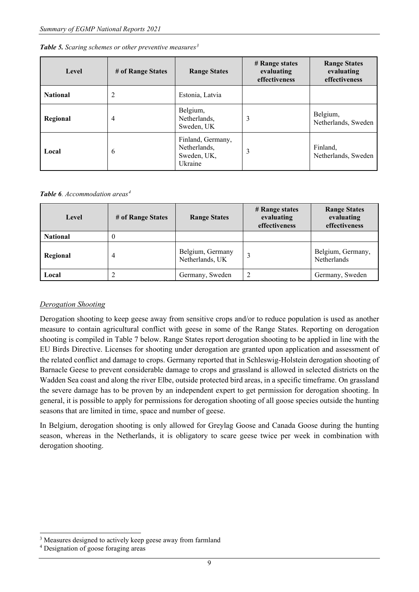| Level           | # of Range States | <b>Range States</b>                                         | # Range states<br>evaluating<br>effectiveness | <b>Range States</b><br>evaluating<br>effectiveness |
|-----------------|-------------------|-------------------------------------------------------------|-----------------------------------------------|----------------------------------------------------|
| <b>National</b> | 2                 | Estonia, Latvia                                             |                                               |                                                    |
| Regional        | 4                 | Belgium,<br>Netherlands,<br>Sweden, UK                      | 3                                             | Belgium,<br>Netherlands, Sweden                    |
| Local           | 6                 | Finland, Germany,<br>Netherlands,<br>Sweden, UK,<br>Ukraine | 3                                             | Finland.<br>Netherlands, Sweden                    |

#### *Table 6. Accommodation areas[4](#page-8-1)*

| Level           | # of Range States | <b>Range States</b>                 | # Range states<br>evaluating<br>effectiveness | <b>Range States</b><br>evaluating<br>effectiveness |
|-----------------|-------------------|-------------------------------------|-----------------------------------------------|----------------------------------------------------|
| <b>National</b> |                   |                                     |                                               |                                                    |
| Regional        | 4                 | Belgium, Germany<br>Netherlands, UK |                                               | Belgium, Germany,<br>Netherlands                   |
| Local           |                   | Germany, Sweden                     | っ                                             | Germany, Sweden                                    |

### *Derogation Shooting*

Derogation shooting to keep geese away from sensitive crops and/or to reduce population is used as another measure to contain agricultural conflict with geese in some of the Range States. Reporting on derogation shooting is compiled in Table 7 below. Range States report derogation shooting to be applied in line with the EU Birds Directive. Licenses for shooting under derogation are granted upon application and assessment of the related conflict and damage to crops. Germany reported that in Schleswig-Holstein derogation shooting of Barnacle Geese to prevent considerable damage to crops and grassland is allowed in selected districts on the Wadden Sea coast and along the river Elbe, outside protected bird areas, in a specific timeframe. On grassland the severe damage has to be proven by an independent expert to get permission for derogation shooting. In general, it is possible to apply for permissions for derogation shooting of all goose species outside the hunting seasons that are limited in time, space and number of geese.

In Belgium, derogation shooting is only allowed for Greylag Goose and Canada Goose during the hunting season, whereas in the Netherlands, it is obligatory to scare geese twice per week in combination with derogation shooting.

<span id="page-8-0"></span><sup>&</sup>lt;sup>3</sup> Measures designed to actively keep geese away from farmland

<span id="page-8-1"></span><sup>4</sup> Designation of goose foraging areas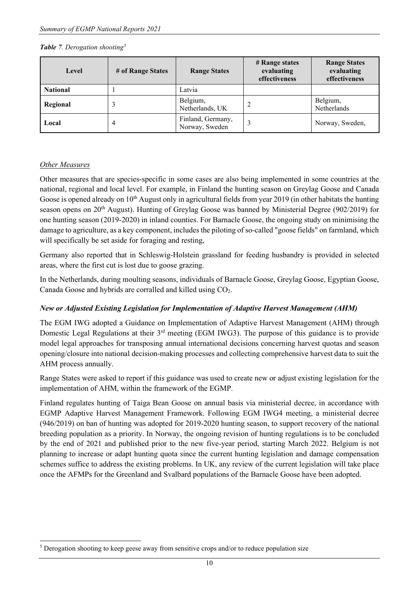#### *Table 7. Derogation shooting[5](#page-9-0)*

| Level           | # of Range States | <b>Range States</b>                 | # Range states<br>evaluating<br>effectiveness | <b>Range States</b><br>evaluating<br>effectiveness |
|-----------------|-------------------|-------------------------------------|-----------------------------------------------|----------------------------------------------------|
| <b>National</b> |                   | Latvia                              |                                               |                                                    |
| Regional        |                   | Belgium,<br>Netherlands, UK         |                                               | Belgium,<br>Netherlands                            |
| Local           | 4                 | Finland, Germany,<br>Norway, Sweden |                                               | Norway, Sweden,                                    |

### *Other Measures*

Other measures that are species-specific in some cases are also being implemented in some countries at the national, regional and local level. For example, in Finland the hunting season on Greylag Goose and Canada Goose is opened already on  $10<sup>th</sup>$  August only in agricultural fields from year 2019 (in other habitats the hunting season opens on 20<sup>th</sup> August). Hunting of Greylag Goose was banned by Ministerial Degree (902/2019) for one hunting season (2019-2020) in inland counties. For Barnacle Goose, the ongoing study on minimising the damage to agriculture, as a key component, includes the piloting of so-called "goose fields" on farmland, which will specifically be set aside for foraging and resting,

Germany also reported that in Schleswig-Holstein grassland for feeding husbandry is provided in selected areas, where the first cut is lost due to goose grazing.

In the Netherlands, during moulting seasons, individuals of Barnacle Goose, Greylag Goose, Egyptian Goose, Canada Goose and hybrids are corralled and killed using CO<sub>2</sub>.

### *New or Adjusted Existing Legislation for Implementation of Adaptive Harvest Management (AHM)*

The EGM IWG adopted a Guidance on Implementation of Adaptive Harvest Management (AHM) through Domestic Legal Regulations at their 3<sup>rd</sup> meeting (EGM IWG3). The purpose of this guidance is to provide model legal approaches for transposing annual international decisions concerning harvest quotas and season opening/closure into national decision-making processes and collecting comprehensive harvest data to suit the AHM process annually.

Range States were asked to report if this guidance was used to create new or adjust existing legislation for the implementation of AHM, within the framework of the EGMP.

Finland regulates hunting of Taiga Bean Goose on annual basis via ministerial decree, in accordance with EGMP Adaptive Harvest Management Framework. Following EGM IWG4 meeting, a ministerial decree (946/2019) on ban of hunting was adopted for 2019-2020 hunting season, to support recovery of the national breeding population as a priority. In Norway, the ongoing revision of hunting regulations is to be concluded by the end of 2021 and published prior to the new five-year period, starting March 2022. Belgium is not planning to increase or adapt hunting quota since the current hunting legislation and damage compensation schemes suffice to address the existing problems. In UK, any review of the current legislation will take place once the AFMPs for the Greenland and Svalbard populations of the Barnacle Goose have been adopted.

<span id="page-9-0"></span><sup>5</sup> Derogation shooting to keep geese away from sensitive crops and/or to reduce population size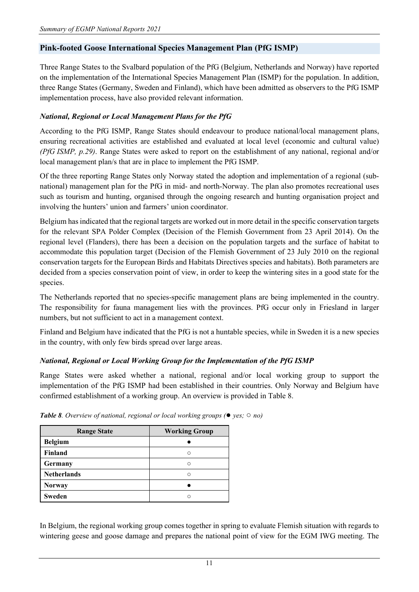## <span id="page-10-0"></span>**Pink-footed Goose International Species Management Plan (PfG ISMP)**

Three Range States to the Svalbard population of the PfG (Belgium, Netherlands and Norway) have reported on the implementation of the International Species Management Plan (ISMP) for the population. In addition, three Range States (Germany, Sweden and Finland), which have been admitted as observers to the PfG ISMP implementation process, have also provided relevant information.

### *National, Regional or Local Management Plans for the PfG*

According to the PfG ISMP, Range States should endeavour to produce national/local management plans, ensuring recreational activities are established and evaluated at local level (economic and cultural value) *(PfG ISMP, p.29)*. Range States were asked to report on the establishment of any national, regional and/or local management plan/s that are in place to implement the PfG ISMP.

Of the three reporting Range States only Norway stated the adoption and implementation of a regional (subnational) management plan for the PfG in mid- and north-Norway. The plan also promotes recreational uses such as tourism and hunting, organised through the ongoing research and hunting organisation project and involving the hunters' union and farmers' union coordinator.

Belgium has indicated that the regional targets are worked out in more detail in the specific conservation targets for the relevant SPA Polder Complex (Decision of the Flemish Government from 23 April 2014). On the regional level (Flanders), there has been a decision on the population targets and the surface of habitat to accommodate this population target (Decision of the Flemish Government of 23 July 2010 on the regional conservation targets for the European Birds and Habitats Directives species and habitats). Both parameters are decided from a species conservation point of view, in order to keep the wintering sites in a good state for the species.

The Netherlands reported that no species-specific management plans are being implemented in the country. The responsibility for fauna management lies with the provinces. PfG occur only in Friesland in larger numbers, but not sufficient to act in a management context.

Finland and Belgium have indicated that the PfG is not a huntable species, while in Sweden it is a new species in the country, with only few birds spread over large areas.

# *National, Regional or Local Working Group for the Implementation of the PfG ISMP*

Range States were asked whether a national, regional and/or local working group to support the implementation of the PfG ISMP had been established in their countries. Only Norway and Belgium have confirmed establishment of a working group. An overview is provided in Table 8.

| <b>Range State</b> | <b>Working Group</b> |
|--------------------|----------------------|
| <b>Belgium</b>     |                      |
| Finland            | ⌒                    |
| Germany            | ◠                    |
| <b>Netherlands</b> | $\subset$            |
| <b>Norway</b>      |                      |
| <b>Sweden</b>      |                      |

*Table 8. Overview of national, regional or local working groups (*● *yes;* ○ *no)*

In Belgium, the regional working group comes together in spring to evaluate Flemish situation with regards to wintering geese and goose damage and prepares the national point of view for the EGM IWG meeting. The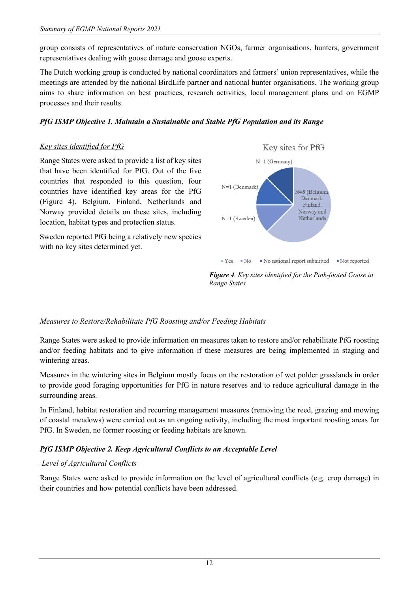group consists of representatives of nature conservation NGOs, farmer organisations, hunters, government representatives dealing with goose damage and goose experts.

The Dutch working group is conducted by national coordinators and farmers' union representatives, while the meetings are attended by the national BirdLife partner and national hunter organisations. The working group aims to share information on best practices, research activities, local management plans and on EGMP processes and their results.

## *PfG ISMP Objective 1. Maintain a Sustainable and Stable PfG Population and its Range*

### *Key sites identified for PfG*

Range States were asked to provide a list of key sites that have been identified for PfG. Out of the five countries that responded to this question, four countries have identified key areas for the PfG (Figure 4). Belgium, Finland, Netherlands and Norway provided details on these sites, including location, habitat types and protection status.

Sweden reported PfG being a relatively new species with no key sites determined yet.



*Figure 4. Key sites identified for the Pink-footed Goose in Range States*

### *Measures to Restore/Rehabilitate PfG Roosting and/or Feeding Habitats*

Range States were asked to provide information on measures taken to restore and/or rehabilitate PfG roosting and/or feeding habitats and to give information if these measures are being implemented in staging and wintering areas.

Measures in the wintering sites in Belgium mostly focus on the restoration of wet polder grasslands in order to provide good foraging opportunities for PfG in nature reserves and to reduce agricultural damage in the surrounding areas.

In Finland, habitat restoration and recurring management measures (removing the reed, grazing and mowing of coastal meadows) were carried out as an ongoing activity, including the most important roosting areas for PfG. In Sweden, no former roosting or feeding habitats are known.

# *PfG ISMP Objective 2. Keep Agricultural Conflicts to an Acceptable Level*

# *Level of Agricultural Conflicts*

Range States were asked to provide information on the level of agricultural conflicts (e.g. crop damage) in their countries and how potential conflicts have been addressed.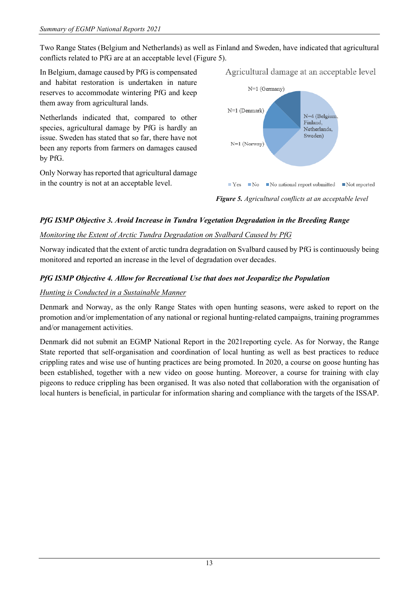Two Range States (Belgium and Netherlands) as well as Finland and Sweden, have indicated that agricultural conflicts related to PfG are at an acceptable level (Figure 5).

In Belgium, damage caused by PfG is compensated and habitat restoration is undertaken in nature reserves to accommodate wintering PfG and keep them away from agricultural lands.

Netherlands indicated that, compared to other species, agricultural damage by PfG is hardly an issue. Sweden has stated that so far, there have not been any reports from farmers on damages caused by PfG.

Only Norway has reported that agricultural damage in the country is not at an acceptable level.



*Figure 5. Agricultural conflicts at an acceptable level*

# *PfG ISMP Objective 3. Avoid Increase in Tundra Vegetation Degradation in the Breeding Range*

# *Monitoring the Extent of Arctic Tundra Degradation on Svalbard Caused by PfG*

Norway indicated that the extent of arctic tundra degradation on Svalbard caused by PfG is continuously being monitored and reported an increase in the level of degradation over decades.

# *PfG ISMP Objective 4. Allow for Recreational Use that does not Jeopardize the Population*

# *Hunting is Conducted in a Sustainable Manner*

Denmark and Norway, as the only Range States with open hunting seasons, were asked to report on the promotion and/or implementation of any national or regional hunting-related campaigns, training programmes and/or management activities.

Denmark did not submit an EGMP National Report in the 2021reporting cycle. As for Norway, the Range State reported that self-organisation and coordination of local hunting as well as best practices to reduce crippling rates and wise use of hunting practices are being promoted. In 2020, a course on goose hunting has been established, together with a new video on goose hunting. Moreover, a course for training with clay pigeons to reduce crippling has been organised. It was also noted that collaboration with the organisation of local hunters is beneficial, in particular for information sharing and compliance with the targets of the ISSAP.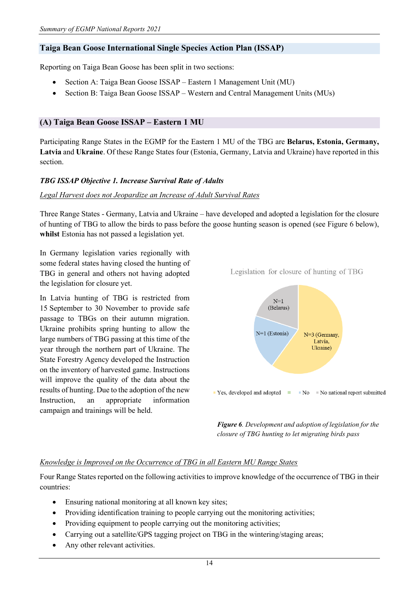### <span id="page-13-0"></span>**Taiga Bean Goose International Single Species Action Plan (ISSAP)**

Reporting on Taiga Bean Goose has been split in two sections:

- Section A: Taiga Bean Goose ISSAP Eastern 1 Management Unit (MU)
- Section B: Taiga Bean Goose ISSAP Western and Central Management Units (MUs)

### <span id="page-13-1"></span>**(A) Taiga Bean Goose ISSAP – Eastern 1 MU**

Participating Range States in the EGMP for the Eastern 1 MU of the TBG are **Belarus, Estonia, Germany, Latvia** and **Ukraine**. Of these Range States four (Estonia, Germany, Latvia and Ukraine) have reported in this section.

#### *TBG ISSAP Objective 1. Increase Survival Rate of Adults*

#### *Legal Harvest does not Jeopardize an Increase of Adult Survival Rates*

Three Range States - Germany, Latvia and Ukraine – have developed and adopted a legislation for the closure of hunting of TBG to allow the birds to pass before the goose hunting season is opened (see Figure 6 below), **whilst** Estonia has not passed a legislation yet.

In Germany legislation varies regionally with some federal states having closed the hunting of TBG in general and others not having adopted the legislation for closure yet.

In Latvia hunting of TBG is restricted from 15 September to 30 November to provide safe passage to TBGs on their autumn migration. Ukraine prohibits spring hunting to allow the large numbers of TBG passing at this time of the year through the northern part of Ukraine. The State Forestry Agency developed the Instruction on the inventory of harvested game. Instructions will improve the quality of the data about the results of hunting. Due to the adoption of the new Instruction, an appropriate information campaign and trainings will be held.

 $N=1$ (Belarus)  $N=1$  (Estonia)  $N=3$  (Germany, Latvia, Ukraine) ■ Yes, developed and adopted ■ ■ No ■ No national report submitted

Legislation for closure of hunting of TBG

*Figure 6. Development and adoption of legislation for the closure of TBG hunting to let migrating birds pass*

#### *Knowledge is Improved on the Occurrence of TBG in all Eastern MU Range States*

Four Range States reported on the following activities to improve knowledge of the occurrence of TBG in their countries:

- Ensuring national monitoring at all known key sites;
- Providing identification training to people carrying out the monitoring activities;
- Providing equipment to people carrying out the monitoring activities;
- Carrying out a satellite/GPS tagging project on TBG in the wintering/staging areas;
- Any other relevant activities.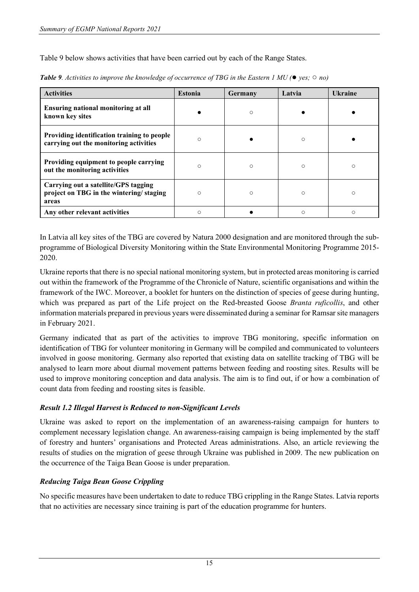Table 9 below shows activities that have been carried out by each of the Range States.

| <b>Activities</b>                                                                        | <b>Estonia</b> | Germany | Latvia     | <b>Ukraine</b> |
|------------------------------------------------------------------------------------------|----------------|---------|------------|----------------|
| <b>Ensuring national monitoring at all</b><br>known key sites                            |                | $\circ$ |            |                |
| Providing identification training to people<br>carrying out the monitoring activities    | $\circ$        |         | $\bigcirc$ |                |
| Providing equipment to people carrying<br>out the monitoring activities                  | $\bigcirc$     | $\circ$ | ◯          | Ω              |
| Carrying out a satellite/GPS tagging<br>project on TBG in the wintering/staging<br>areas | $\circ$        | $\circ$ | $\bigcirc$ | Ω              |
| Any other relevant activities                                                            | Ω              |         | $\bigcirc$ | Ω              |

*Table 9. Activities to improve the knowledge of occurrence of TBG in the Eastern 1 MU (*● *yes;* ○ *no)*

In Latvia all key sites of the TBG are covered by Natura 2000 designation and are monitored through the subprogramme of Biological Diversity Monitoring within the State Environmental Monitoring Programme 2015- 2020.

Ukraine reports that there is no special national monitoring system, but in protected areas monitoring is carried out within the framework of the Programme of the Chronicle of Nature, scientific organisations and within the framework of the IWC. Moreover, a booklet for hunters on the distinction of species of geese during hunting, which was prepared as part of the Life project on the Red-breasted Goose *Branta ruficollis*, and other information materials prepared in previous years were disseminated during a seminar for Ramsar site managers in February 2021.

Germany indicated that as part of the activities to improve TBG monitoring, specific information on identification of TBG for volunteer monitoring in Germany will be compiled and communicated to volunteers involved in goose monitoring. Germany also reported that existing data on satellite tracking of TBG will be analysed to learn more about diurnal movement patterns between feeding and roosting sites. Results will be used to improve monitoring conception and data analysis. The aim is to find out, if or how a combination of count data from feeding and roosting sites is feasible.

# *Result 1.2 Illegal Harvest is Reduced to non-Significant Levels*

Ukraine was asked to report on the implementation of an awareness-raising campaign for hunters to complement necessary legislation change. An awareness-raising campaign is being implemented by the staff of forestry and hunters' organisations and Protected Areas administrations. Also, an article reviewing the results of studies on the migration of geese through Ukraine was published in 2009. The new publication on the occurrence of the Taiga Bean Goose is under preparation.

# *Reducing Taiga Bean Goose Crippling*

No specific measures have been undertaken to date to reduce TBG crippling in the Range States. Latvia reports that no activities are necessary since training is part of the education programme for hunters.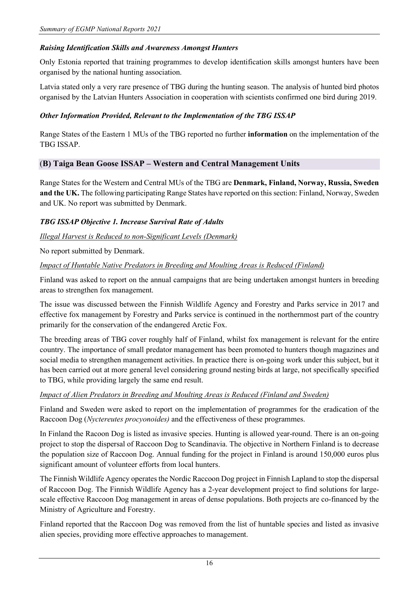## *Raising Identification Skills and Awareness Amongst Hunters*

Only Estonia reported that training programmes to develop identification skills amongst hunters have been organised by the national hunting association.

Latvia stated only a very rare presence of TBG during the hunting season. The analysis of hunted bird photos organised by the Latvian Hunters Association in cooperation with scientists confirmed one bird during 2019.

### *Other Information Provided, Relevant to the Implementation of the TBG ISSAP*

Range States of the Eastern 1 MUs of the TBG reported no further **information** on the implementation of the TBG ISSAP.

### <span id="page-15-0"></span>(**B) Taiga Bean Goose ISSAP – Western and Central Management Units**

Range States for the Western and Central MUs of the TBG are **Denmark, Finland, Norway, Russia, Sweden and the UK.** The following participating Range States have reported on this section: Finland, Norway, Sweden and UK. No report was submitted by Denmark.

### *TBG ISSAP Objective 1. Increase Survival Rate of Adults*

### *Illegal Harvest is Reduced to non-Significant Levels (Denmark)*

No report submitted by Denmark.

### *Impact of Huntable Native Predators in Breeding and Moulting Areas is Reduced (Finland)*

Finland was asked to report on the annual campaigns that are being undertaken amongst hunters in breeding areas to strengthen fox management.

The issue was discussed between the Finnish Wildlife Agency and Forestry and Parks service in 2017 and effective fox management by Forestry and Parks service is continued in the northernmost part of the country primarily for the conservation of the endangered Arctic Fox.

The breeding areas of TBG cover roughly half of Finland, whilst fox management is relevant for the entire country. The importance of small predator management has been promoted to hunters though magazines and social media to strengthen management activities. In practice there is on-going work under this subject, but it has been carried out at more general level considering ground nesting birds at large, not specifically specified to TBG, while providing largely the same end result.

### *Impact of Alien Predators in Breeding and Moulting Areas is Reduced (Finland and Sweden)*

Finland and Sweden were asked to report on the implementation of programmes for the eradication of the Raccoon Dog (*Nyctereutes procyonoides)* and the effectiveness of these programmes.

In Finland the Racoon Dog is listed as invasive species. Hunting is allowed year-round. There is an on-going project to stop the dispersal of Raccoon Dog to Scandinavia. The objective in Northern Finland is to decrease the population size of Raccoon Dog. Annual funding for the project in Finland is around 150,000 euros plus significant amount of volunteer efforts from local hunters.

The Finnish Wildlife Agency operates the Nordic Raccoon Dog project in Finnish Lapland to stop the dispersal of Raccoon Dog. The Finnish Wildlife Agency has a 2-year development project to find solutions for largescale effective Raccoon Dog management in areas of dense populations. Both projects are co-financed by the Ministry of Agriculture and Forestry.

Finland reported that the Raccoon Dog was removed from the list of huntable species and listed as invasive alien species, providing more effective approaches to management.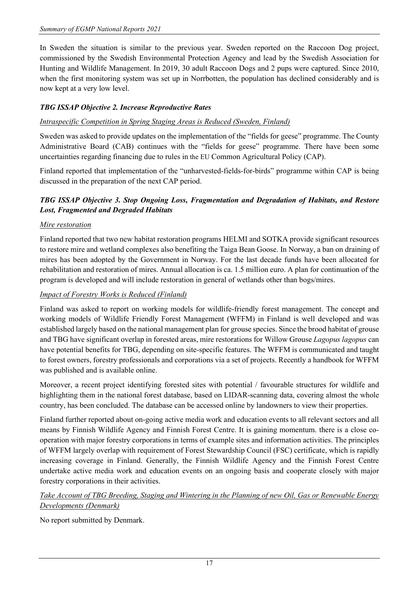In Sweden the situation is similar to the previous year. Sweden reported on the Raccoon Dog project, commissioned by the Swedish Environmental Protection Agency and lead by the Swedish Association for Hunting and Wildlife Management. In 2019, 30 adult Raccoon Dogs and 2 pups were captured. Since 2010, when the first monitoring system was set up in Norrbotten, the population has declined considerably and is now kept at a very low level.

# *TBG ISSAP Objective 2. Increase Reproductive Rates*

## *Intraspecific Competition in Spring Staging Areas is Reduced (Sweden, Finland)*

Sweden was asked to provide updates on the implementation of the "fields for geese" programme. The County Administrative Board (CAB) continues with the "fields for geese" programme. There have been some uncertainties regarding financing due to rules in the EU Common Agricultural Policy (CAP).

Finland reported that implementation of the "unharvested-fields-for-birds" programme within CAP is being discussed in the preparation of the next CAP period.

# *TBG ISSAP Objective 3. Stop Ongoing Loss, Fragmentation and Degradation of Habitats, and Restore Lost, Fragmented and Degraded Habitats*

### *Mire restoration*

Finland reported that two new habitat restoration programs HELMI and SOTKA provide significant resources to restore mire and wetland complexes also benefiting the Taiga Bean Goose. In Norway, a ban on draining of mires has been adopted by the Government in Norway. For the last decade funds have been allocated for rehabilitation and restoration of mires. Annual allocation is ca. 1.5 million euro. A plan for continuation of the program is developed and will include restoration in general of wetlands other than bogs/mires.

## *Impact of Forestry Works is Reduced (Finland)*

Finland was asked to report on working models for wildlife-friendly forest management. The concept and working models of Wildlife Friendly Forest Management (WFFM) in Finland is well developed and was established largely based on the national management plan for grouse species. Since the brood habitat of grouse and TBG have significant overlap in forested areas, mire restorations for Willow Grouse *Lagopus lagopus* can have potential benefits for TBG, depending on site-specific features. The WFFM is communicated and taught to forest owners, forestry professionals and corporations via a set of projects. Recently a handbook for WFFM was published and is available online.

Moreover, a recent project identifying forested sites with potential / favourable structures for wildlife and highlighting them in the national forest database, based on LIDAR-scanning data, covering almost the whole country, has been concluded. The database can be accessed online by landowners to view their properties.

Finland further reported about on-going active media work and education events to all relevant sectors and all means by Finnish Wildlife Agency and Finnish Forest Centre. It is gaining momentum. there is a close cooperation with major forestry corporations in terms of example sites and information activities. The principles of WFFM largely overlap with requirement of Forest Stewardship Council (FSC) certificate, which is rapidly increasing coverage in Finland. Generally, the Finnish Wildlife Agency and the Finnish Forest Centre undertake active media work and education events on an ongoing basis and cooperate closely with major forestry corporations in their activities.

# *Take Account of TBG Breeding, Staging and Wintering in the Planning of new Oil, Gas or Renewable Energy Developments (Denmark)*

No report submitted by Denmark.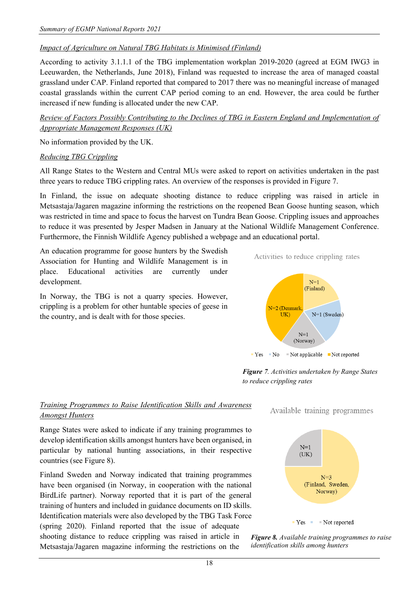# *Impact of Agriculture on Natural TBG Habitats is Minimised (Finland)*

According to activity 3.1.1.1 of the TBG implementation workplan 2019-2020 (agreed at EGM IWG3 in Leeuwarden, the Netherlands, June 2018), Finland was requested to increase the area of managed coastal grassland under CAP. Finland reported that compared to 2017 there was no meaningful increase of managed coastal grasslands within the current CAP period coming to an end. However, the area could be further increased if new funding is allocated under the new CAP.

*Review of Factors Possibly Contributing to the Declines of TBG in Eastern England and Implementation of Appropriate Management Responses (UK)*

No information provided by the UK.

### *Reducing TBG Crippling*

All Range States to the Western and Central MUs were asked to report on activities undertaken in the past three years to reduce TBG crippling rates. An overview of the responses is provided in Figure 7.

In Finland, the issue on adequate shooting distance to reduce crippling was raised in article in Metsastaja/Jagaren magazine informing the restrictions on the reopened Bean Goose hunting season, which was restricted in time and space to focus the harvest on Tundra Bean Goose. Crippling issues and approaches to reduce it was presented by Jesper Madsen in January at the National Wildlife Management Conference. Furthermore, the Finnish Wildlife Agency published a webpage and an educational portal.

An education programme for goose hunters by the Swedish Association for Hunting and Wildlife Management is in place. Educational activities are currently under development.

In Norway, the TBG is not a quarry species. However, crippling is a problem for other huntable species of geese in the country, and is dealt with for those species.





*Figure 7. Activities undertaken by Range States to reduce crippling rates*

# *Training Programmes to Raise Identification Skills and Awareness Amongst Hunters*

Range States were asked to indicate if any training programmes to develop identification skills amongst hunters have been organised, in particular by national hunting associations, in their respective countries (see Figure 8).

Finland Sweden and Norway indicated that training programmes have been organised (in Norway, in cooperation with the national BirdLife partner). Norway reported that it is part of the general training of hunters and included in guidance documents on ID skills. Identification materials were also developed by the TBG Task Force (spring 2020). Finland reported that the issue of adequate shooting distance to reduce crippling was raised in article in Metsastaja/Jagaren magazine informing the restrictions on the

Available training programmes



*Figure 8. Available training programmes to raise identification skills among hunters*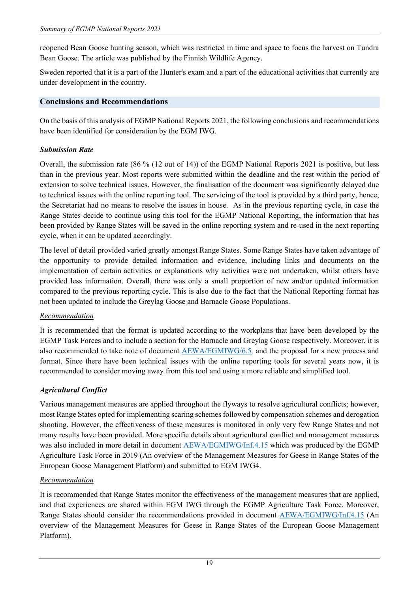reopened Bean Goose hunting season, which was restricted in time and space to focus the harvest on Tundra Bean Goose. The article was published by the Finnish Wildlife Agency.

Sweden reported that it is a part of the Hunter's exam and a part of the educational activities that currently are under development in the country.

## <span id="page-18-0"></span>**Conclusions and Recommendations**

On the basis of this analysis of EGMP National Reports 2021, the following conclusions and recommendations have been identified for consideration by the EGM IWG.

### *Submission Rate*

Overall, the submission rate (86 % (12 out of 14)) of the EGMP National Reports 2021 is positive, but less than in the previous year. Most reports were submitted within the deadline and the rest within the period of extension to solve technical issues. However, the finalisation of the document was significantly delayed due to technical issues with the online reporting tool. The servicing of the tool is provided by a third party, hence, the Secretariat had no means to resolve the issues in house. As in the previous reporting cycle, in case the Range States decide to continue using this tool for the EGMP National Reporting, the information that has been provided by Range States will be saved in the online reporting system and re-used in the next reporting cycle, when it can be updated accordingly.

The level of detail provided varied greatly amongst Range States. Some Range States have taken advantage of the opportunity to provide detailed information and evidence, including links and documents on the implementation of certain activities or explanations why activities were not undertaken, whilst others have provided less information. Overall, there was only a small proportion of new and/or updated information compared to the previous reporting cycle. This is also due to the fact that the National Reporting format has not been updated to include the Greylag Goose and Barnacle Goose Populations.

# *Recommendation*

It is recommended that the format is updated according to the workplans that have been developed by the EGMP Task Forces and to include a section for the Barnacle and Greylag Goose respectively. Moreover, it is also recommended to take note of document [AEWA/EGMIWG/6.5](https://egmp.aewa.info/sites/default/files/meeting_files/documents/aewa_egm_iwg_6_5_proposal_for_revised_national_reporting_format_0.pdf)*,* and the proposal for a new process and format. Since there have been technical issues with the online reporting tools for several years now, it is recommended to consider moving away from this tool and using a more reliable and simplified tool.

# *Agricultural Conflict*

Various management measures are applied throughout the flyways to resolve agricultural conflicts; however, most Range States opted for implementing scaring schemes followed by compensation schemes and derogation shooting. However, the effectiveness of these measures is monitored in only very few Range States and not many results have been provided. More specific details about agricultural conflict and management measures was also included in more detail in document [AEWA/EGMIWG/Inf.4.15](https://egmp.aewa.info/sites/default/files/meeting_files/information_documents/aewa_egm_iwg4_inf_4_15_management%20measures.pdf) which was produced by the EGMP Agriculture Task Force in 2019 (An overview of the Management Measures for Geese in Range States of the European Goose Management Platform) and submitted to EGM IWG4.

### *Recommendation*

It is recommended that Range States monitor the effectiveness of the management measures that are applied, and that experiences are shared within EGM IWG through the EGMP Agriculture Task Force. Moreover, Range States should consider the recommendations provided in document [AEWA/EGMIWG/Inf.4.15](https://egmp.aewa.info/sites/default/files/meeting_files/information_documents/aewa_egm_iwg4_inf_4_15_management%20measures.pdf) (An overview of the Management Measures for Geese in Range States of the European Goose Management Platform).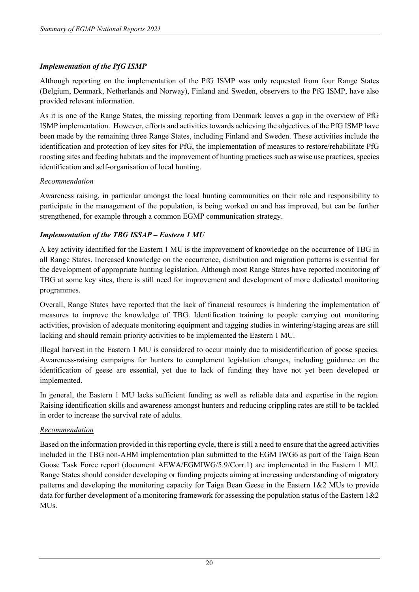# *Implementation of the PfG ISMP*

Although reporting on the implementation of the PfG ISMP was only requested from four Range States (Belgium, Denmark, Netherlands and Norway), Finland and Sweden, observers to the PfG ISMP, have also provided relevant information.

As it is one of the Range States, the missing reporting from Denmark leaves a gap in the overview of PfG ISMP implementation. However, efforts and activities towards achieving the objectives of the PfG ISMP have been made by the remaining three Range States, including Finland and Sweden. These activities include the identification and protection of key sites for PfG, the implementation of measures to restore/rehabilitate PfG roosting sites and feeding habitats and the improvement of hunting practices such as wise use practices, species identification and self-organisation of local hunting.

### *Recommendation*

Awareness raising, in particular amongst the local hunting communities on their role and responsibility to participate in the management of the population, is being worked on and has improved, but can be further strengthened, for example through a common EGMP communication strategy.

# *Implementation of the TBG ISSAP – Eastern 1 MU*

A key activity identified for the Eastern 1 MU is the improvement of knowledge on the occurrence of TBG in all Range States. Increased knowledge on the occurrence, distribution and migration patterns is essential for the development of appropriate hunting legislation. Although most Range States have reported monitoring of TBG at some key sites, there is still need for improvement and development of more dedicated monitoring programmes.

Overall, Range States have reported that the lack of financial resources is hindering the implementation of measures to improve the knowledge of TBG. Identification training to people carrying out monitoring activities, provision of adequate monitoring equipment and tagging studies in wintering/staging areas are still lacking and should remain priority activities to be implemented the Eastern 1 MU.

Illegal harvest in the Eastern 1 MU is considered to occur mainly due to misidentification of goose species. Awareness-raising campaigns for hunters to complement legislation changes, including guidance on the identification of geese are essential, yet due to lack of funding they have not yet been developed or implemented.

In general, the Eastern 1 MU lacks sufficient funding as well as reliable data and expertise in the region. Raising identification skills and awareness amongst hunters and reducing crippling rates are still to be tackled in order to increase the survival rate of adults.

# *Recommendation*

Based on the information provided in this reporting cycle, there is still a need to ensure that the agreed activities included in the TBG non-AHM implementation plan submitted to the EGM IWG6 as part of the Taiga Bean Goose Task Force report (document AEWA/EGMIWG/5.9/Corr.1) are implemented in the Eastern 1 MU. Range States should consider developing or funding projects aiming at increasing understanding of migratory patterns and developing the monitoring capacity for Taiga Bean Geese in the Eastern 1&2 MUs to provide data for further development of a monitoring framework for assessing the population status of the Eastern 1&2 MU<sub>s</sub>